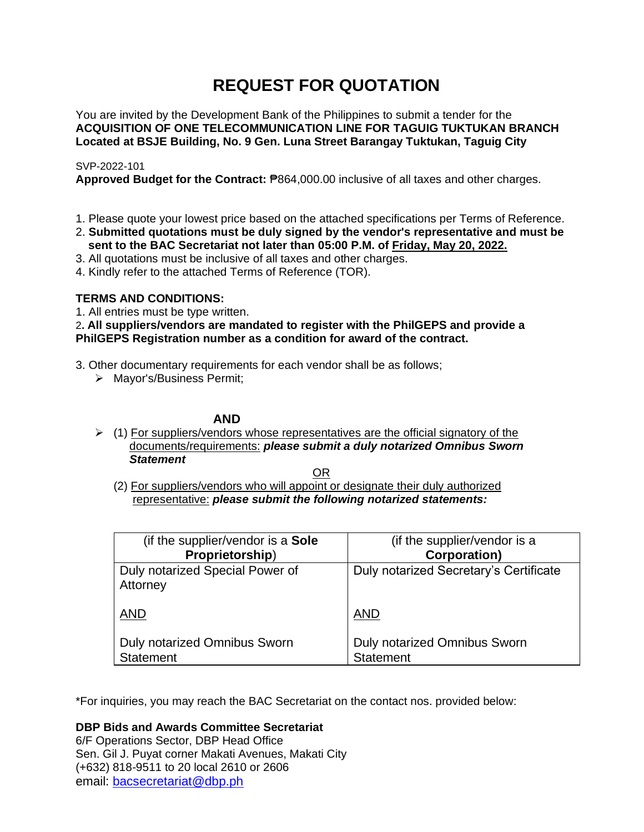# **REQUEST FOR QUOTATION**

You are invited by the Development Bank of the Philippines to submit a tender for the **ACQUISITION OF ONE TELECOMMUNICATION LINE FOR TAGUIG TUKTUKAN BRANCH Located at BSJE Building, No. 9 Gen. Luna Street Barangay Tuktukan, Taguig City**

# SVP-2022-101

Approved Budget for the Contract:  $P864,000.00$  inclusive of all taxes and other charges.

- 1. Please quote your lowest price based on the attached specifications per Terms of Reference.
- 2. **Submitted quotations must be duly signed by the vendor's representative and must be sent to the BAC Secretariat not later than 05:00 P.M. of Friday, May 20, 2022.**
- 3. All quotations must be inclusive of all taxes and other charges.
- 4. Kindly refer to the attached Terms of Reference (TOR).

# **TERMS AND CONDITIONS:**

1. All entries must be type written.

# 2**. All suppliers/vendors are mandated to register with the PhilGEPS and provide a PhilGEPS Registration number as a condition for award of the contract.**

- 3. Other documentary requirements for each vendor shall be as follows;
	- ➢ Mayor's/Business Permit;

# **AND**

 $\geq$  (1) For suppliers/vendors whose representatives are the official signatory of the documents/requirements: *please submit a duly notarized Omnibus Sworn Statement*

<u>OR Starting and the Starting OR Starting</u>

(2) For suppliers/vendors who will appoint or designate their duly authorized representative: *please submit the following notarized statements:*

| (if the supplier/vendor is a <b>Sole</b> )              | (if the supplier/vendor is a                     |
|---------------------------------------------------------|--------------------------------------------------|
| Proprietorship)                                         | <b>Corporation</b> )                             |
| Duly notarized Special Power of<br>Attorney             | Duly notarized Secretary's Certificate           |
| <b>AND</b>                                              | <b>AND</b>                                       |
| <b>Duly notarized Omnibus Sworn</b><br><b>Statement</b> | Duly notarized Omnibus Sworn<br><b>Statement</b> |

\*For inquiries, you may reach the BAC Secretariat on the contact nos. provided below:

**DBP Bids and Awards Committee Secretariat** 

6/F Operations Sector, DBP Head Office Sen. Gil J. Puyat corner Makati Avenues, Makati City (+632) 818-9511 to 20 local 2610 or 2606 email: [bacsecretariat@dbp.ph](mailto:bacsecretariat@dbp.ph)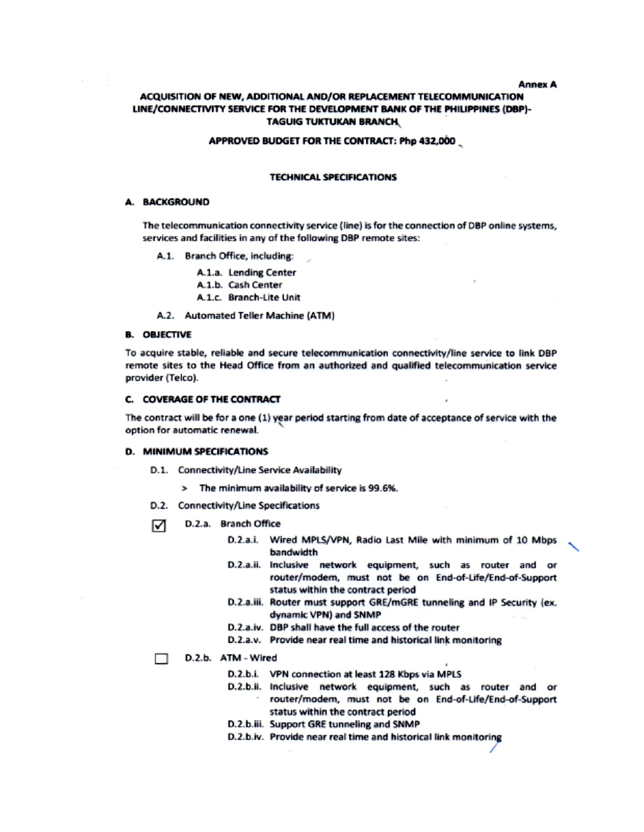#### **Annex A**

# ACQUISITION OF NEW, ADDITIONAL AND/OR REPLACEMENT TELECOMMUNICATION LINE/CONNECTIVITY SERVICE FOR THE DEVELOPMENT BANK OF THE PHILIPPINES (DBP)-**TAGUIG TUKTUKAN BRANCH**

#### APPROVED BUDGET FOR THE CONTRACT: Php 432,000

#### **TECHNICAL SPECIFICATIONS**

# A. BACKGROUND

The telecommunication connectivity service (line) is for the connection of DBP online systems, services and facilities in any of the following DBP remote sites:

A.1. Branch Office, including:

A.1.a. Lending Center

A.1.b. Cash Center

A.1.c. Branch-Lite Unit

A.2. Automated Teller Machine (ATM)

# **B. OBJECTIVE**

To acquire stable, reliable and secure telecommunication connectivity/line service to link DBP remote sites to the Head Office from an authorized and qualified telecommunication service provider (Telco).

#### C. COVERAGE OF THE CONTRACT

The contract will be for a one (1) year period starting from date of acceptance of service with the option for automatic renewal.

#### **D. MINIMUM SPECIFICATIONS**

- D.1. Connectivity/Line Service Availability
	- > The minimum availability of service is 99.6%.
- D.2. Connectivity/Line Specifications
- D.2.a. Branch Office ☑
	- D.2.a.i. Wired MPLS/VPN, Radio Last Mile with minimum of 10 Mbps bandwidth
	- D.2.a.ii. Inclusive network equipment, such as router and or router/modem, must not be on End-of-Life/End-of-Support status within the contract period
	- D.2.a.iii. Router must support GRE/mGRE tunneling and IP Security (ex. dynamic VPN) and SNMP
	- D.2.a.iv. DBP shall have the full access of the router
	- D.2.a.v. Provide near real time and historical link monitoring

# D.2.b. ATM - Wired

- D.2.b.i. VPN connection at least 128 Kbps via MPLS
- D.2.b.ii. Inclusive network equipment, such as router and or router/modem, must not be on End-of-Life/End-of-Support
	- status within the contract period
- D.2.b.iii. Support GRE tunneling and SNMP
- D.2.b.iv. Provide near real time and historical link monitoring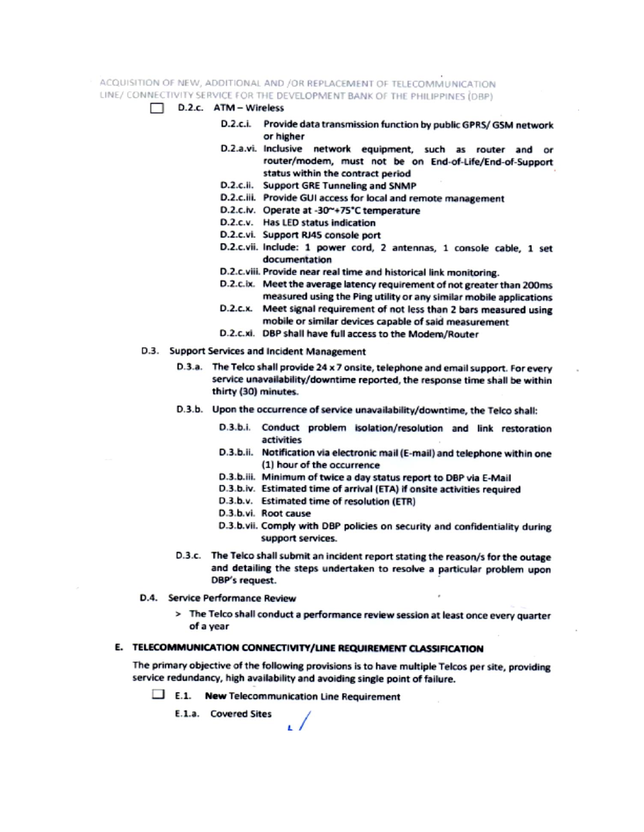ACQUISITION OF NEW, ADDITIONAL AND /OR REPLACEMENT OF TELECOMMUNICATION LINE/ CONNECTIVITY SERVICE FOR THE DEVELOPMENT BANK OF THE PHILIPPINES (DBP)

- D.2.c. ATM Wireless
	- D.2.c.i. Provide data transmission function by public GPRS/GSM network or higher
	- D.2.a.vi. Inclusive network equipment, such as router and or router/modem, must not be on End-of-Life/End-of-Support status within the contract period
	- D.2.c.ii. Support GRE Tunneling and SNMP
	- D.2.c.iii. Provide GUI access for local and remote management
	- D.2.c.iv. Operate at -30~+75°C temperature
	- D.2.c.v. Has LED status indication
	- D.2.c.vi. Support RJ45 console port
	- D.2.c.vii. Include: 1 power cord, 2 antennas, 1 console cable, 1 set documentation
	- D.2.c.viii. Provide near real time and historical link monitoring.
	- D.2.c.ix. Meet the average latency requirement of not greater than 200ms measured using the Ping utility or any similar mobile applications
	- D.2.c.x. Meet signal requirement of not less than 2 bars measured using mobile or similar devices capable of said measurement
	- D.2.c.xi. DBP shall have full access to the Modem/Router
- D.3. Support Services and Incident Management
	- D.3.a. The Telco shall provide 24 x 7 onsite, telephone and email support. For every service unavailability/downtime reported, the response time shall be within thirty (30) minutes.
	- D.3.b. Upon the occurrence of service unavailability/downtime, the Telco shall:
		- D.3.b.i. Conduct problem isolation/resolution and link restoration activities
		- D.3.b.ii. Notification via electronic mail (E-mail) and telephone within one (1) hour of the occurrence
		- D.3.b.iii. Minimum of twice a day status report to DBP via E-Mail
		- D.3.b.iv. Estimated time of arrival (ETA) if onsite activities required
		- D.3.b.v. Estimated time of resolution (ETR)
		- D.3.b.vi. Root cause
		- D.3.b.vii. Comply with DBP policies on security and confidentiality during support services.
	- D.3.c. The Telco shall submit an incident report stating the reason/s for the outage and detailing the steps undertaken to resolve a particular problem upon DBP's request.
- D.4. Service Performance Review
	- > The Telco shall conduct a performance review session at least once every quarter of a year

# E. TELECOMMUNICATION CONNECTIVITY/LINE REQUIREMENT CLASSIFICATION

The primary objective of the following provisions is to have multiple Telcos per site, providing service redundancy, high availability and avoiding single point of failure.

 $\Box$  E.1. New Telecommunication Line Requirement

E.1.a. Covered Sites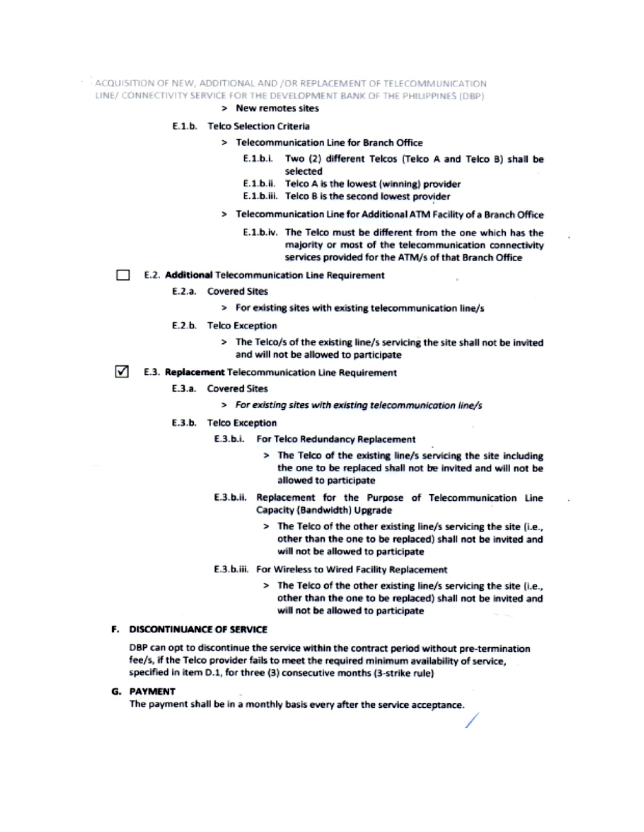# - ACQUISITION OF NEW, ADDITIONAL AND /OR REPLACEMENT OF TELECOMMUNICATION LINE/ CONNECTIVITY SERVICE FOR THE DEVELOPMENT BANK OF THE PHILIPPINES (DBP)

> New remotes sites

# E.1.b. Telco Selection Criteria

- > Telecommunication Line for Branch Office
	- E.1.b.i. Two (2) different Telcos (Telco A and Telco B) shall be selected
	- E.1.b.ii. Telco A is the lowest (winning) provider
	- E.1.b.iii. Telco B is the second lowest provider
- > Telecommunication Line for Additional ATM Facility of a Branch Office
	- E.1.b.iv. The Telco must be different from the one which has the majority or most of the telecommunication connectivity services provided for the ATM/s of that Branch Office
- E.2. Additional Telecommunication Line Requirement
	- E.2.a. Covered Sites
		- > For existing sites with existing telecommunication line/s
	- E.2.b. Telco Exception
		- > The Telco/s of the existing line/s servicing the site shall not be invited and will not be allowed to participate

#### ☑ E.3. Replacement Telecommunication Line Requirement

- E.3.a. Covered Sites
	- > For existing sites with existing telecommunication line/s

# E.3.b. Telco Exception

- E.3.b.i. For Telco Redundancy Replacement
	- > The Telco of the existing line/s servicing the site including the one to be replaced shall not be invited and will not be allowed to participate
- E.3.b.ii. Replacement for the Purpose of Telecommunication Line Capacity (Bandwidth) Upgrade
	- > The Telco of the other existing line/s servicing the site (i.e., other than the one to be replaced) shall not be invited and will not be allowed to participate
- E.3.b.iii. For Wireless to Wired Facility Replacement
	- > The Telco of the other existing line/s servicing the site (i.e., other than the one to be replaced) shall not be invited and will not be allowed to participate

## **F. DISCONTINUANCE OF SERVICE**

DBP can opt to discontinue the service within the contract period without pre-termination fee/s, if the Telco provider fails to meet the required minimum availability of service. specified in item D.1, for three (3) consecutive months (3-strike rule)

#### **G. PAYMENT**

The payment shall be in a monthly basis every after the service acceptance.